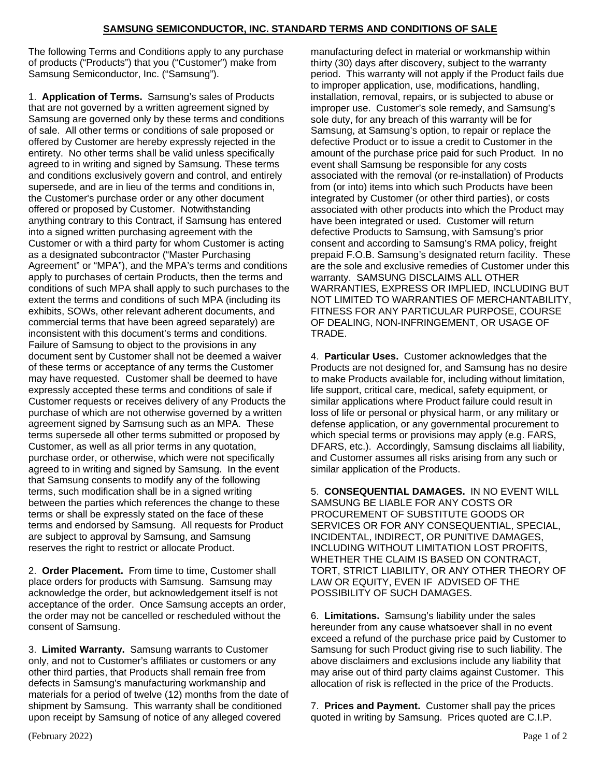The following Terms and Conditions apply to any purchase of products ("Products") that you ("Customer") make from Samsung Semiconductor, Inc. ("Samsung").

1. **Application of Terms.** Samsung's sales of Products that are not governed by a written agreement signed by Samsung are governed only by these terms and conditions of sale. All other terms or conditions of sale proposed or offered by Customer are hereby expressly rejected in the entirety. No other terms shall be valid unless specifically agreed to in writing and signed by Samsung. These terms and conditions exclusively govern and control, and entirely supersede, and are in lieu of the terms and conditions in, the Customer's purchase order or any other document offered or proposed by Customer. Notwithstanding anything contrary to this Contract, if Samsung has entered into a signed written purchasing agreement with the Customer or with a third party for whom Customer is acting as a designated subcontractor ("Master Purchasing Agreement" or "MPA"), and the MPA's terms and conditions apply to purchases of certain Products, then the terms and conditions of such MPA shall apply to such purchases to the extent the terms and conditions of such MPA (including its exhibits, SOWs, other relevant adherent documents, and commercial terms that have been agreed separately) are inconsistent with this document's terms and conditions. Failure of Samsung to object to the provisions in any document sent by Customer shall not be deemed a waiver of these terms or acceptance of any terms the Customer may have requested. Customer shall be deemed to have expressly accepted these terms and conditions of sale if Customer requests or receives delivery of any Products the purchase of which are not otherwise governed by a written agreement signed by Samsung such as an MPA. These terms supersede all other terms submitted or proposed by Customer, as well as all prior terms in any quotation, purchase order, or otherwise, which were not specifically agreed to in writing and signed by Samsung. In the event that Samsung consents to modify any of the following terms, such modification shall be in a signed writing between the parties which references the change to these terms or shall be expressly stated on the face of these terms and endorsed by Samsung. All requests for Product are subject to approval by Samsung, and Samsung reserves the right to restrict or allocate Product.

2. **Order Placement.** From time to time, Customer shall place orders for products with Samsung. Samsung may acknowledge the order, but acknowledgement itself is not acceptance of the order. Once Samsung accepts an order, the order may not be cancelled or rescheduled without the consent of Samsung.

3. **Limited Warranty.** Samsung warrants to Customer only, and not to Customer's affiliates or customers or any other third parties, that Products shall remain free from defects in Samsung's manufacturing workmanship and materials for a period of twelve (12) months from the date of shipment by Samsung. This warranty shall be conditioned upon receipt by Samsung of notice of any alleged covered

manufacturing defect in material or workmanship within thirty (30) days after discovery, subject to the warranty period. This warranty will not apply if the Product fails due to improper application, use, modifications, handling, installation, removal, repairs, or is subjected to abuse or improper use. Customer's sole remedy, and Samsung's sole duty, for any breach of this warranty will be for Samsung, at Samsung's option, to repair or replace the defective Product or to issue a credit to Customer in the amount of the purchase price paid for such Product. In no event shall Samsung be responsible for any costs associated with the removal (or re-installation) of Products from (or into) items into which such Products have been integrated by Customer (or other third parties), or costs associated with other products into which the Product may have been integrated or used. Customer will return defective Products to Samsung, with Samsung's prior consent and according to Samsung's RMA policy, freight prepaid F.O.B. Samsung's designated return facility. These are the sole and exclusive remedies of Customer under this warranty. SAMSUNG DISCLAIMS ALL OTHER WARRANTIES, EXPRESS OR IMPLIED, INCLUDING BUT NOT LIMITED TO WARRANTIES OF MERCHANTABILITY, FITNESS FOR ANY PARTICULAR PURPOSE, COURSE OF DEALING, NON-INFRINGEMENT, OR USAGE OF TRADE.

4. **Particular Uses.** Customer acknowledges that the Products are not designed for, and Samsung has no desire to make Products available for, including without limitation, life support, critical care, medical, safety equipment, or similar applications where Product failure could result in loss of life or personal or physical harm, or any military or defense application, or any governmental procurement to which special terms or provisions may apply (e.g. FARS, DFARS, etc.). Accordingly, Samsung disclaims all liability, and Customer assumes all risks arising from any such or similar application of the Products.

5. **CONSEQUENTIAL DAMAGES.** IN NO EVENT WILL SAMSUNG BE LIABLE FOR ANY COSTS OR PROCUREMENT OF SUBSTITUTE GOODS OR SERVICES OR FOR ANY CONSEQUENTIAL, SPECIAL, INCIDENTAL, INDIRECT, OR PUNITIVE DAMAGES, INCLUDING WITHOUT LIMITATION LOST PROFITS, WHETHER THE CLAIM IS BASED ON CONTRACT, TORT, STRICT LIABILITY, OR ANY OTHER THEORY OF LAW OR EQUITY, EVEN IF ADVISED OF THE POSSIBILITY OF SUCH DAMAGES.

6. **Limitations.** Samsung's liability under the sales hereunder from any cause whatsoever shall in no event exceed a refund of the purchase price paid by Customer to Samsung for such Product giving rise to such liability. The above disclaimers and exclusions include any liability that may arise out of third party claims against Customer. This allocation of risk is reflected in the price of the Products.

7. **Prices and Payment.** Customer shall pay the prices quoted in writing by Samsung. Prices quoted are C.I.P.